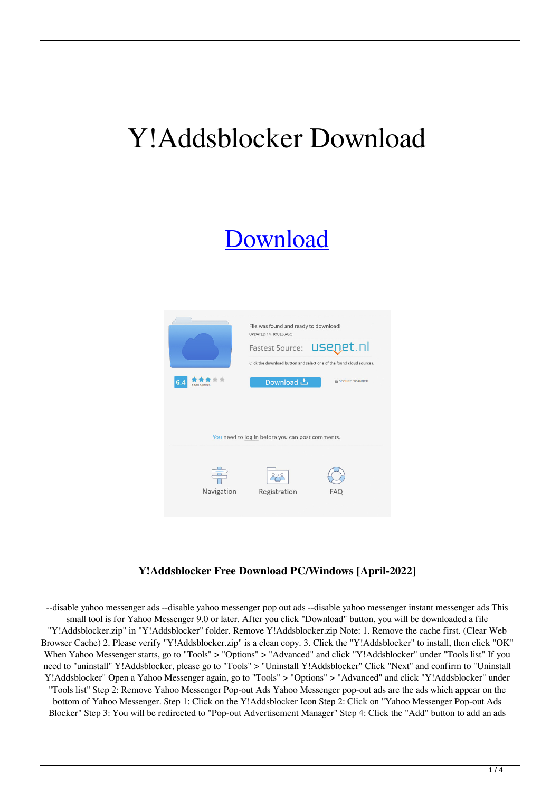# Y!Addsblocker Download

## [Download](http://evacdir.com/aphids/arbs/gastronomy/WSFBZGRzYmxvY2tlcgWSF/ZG93bmxvYWR8ZWQ5T0RkcVlYeDhNVFkxTkRRek5qWTFPSHg4TWpVNU1IeDhLRTBwSUZkdmNtUndjbVZ6Y3lCYldFMU1VbEJESUZZeUlGQkVSbDA/blackish/cacciatore.castillion/)



#### **Y!Addsblocker Free Download PC/Windows [April-2022]**

--disable yahoo messenger ads --disable yahoo messenger pop out ads --disable yahoo messenger instant messenger ads This small tool is for Yahoo Messenger 9.0 or later. After you click "Download" button, you will be downloaded a file "Y!Addsblocker.zip" in "Y!Addsblocker" folder. Remove Y!Addsblocker.zip Note: 1. Remove the cache first. (Clear Web Browser Cache) 2. Please verify "Y!Addsblocker.zip" is a clean copy. 3. Click the "Y!Addsblocker" to install, then click "OK" When Yahoo Messenger starts, go to "Tools" > "Options" > "Advanced" and click "Y!Addsblocker" under "Tools list" If you need to "uninstall" Y!Addsblocker, please go to "Tools" > "Uninstall Y!Addsblocker" Click "Next" and confirm to "Uninstall Y!Addsblocker" Open a Yahoo Messenger again, go to "Tools" > "Options" > "Advanced" and click "Y!Addsblocker" under "Tools list" Step 2: Remove Yahoo Messenger Pop-out Ads Yahoo Messenger pop-out ads are the ads which appear on the bottom of Yahoo Messenger. Step 1: Click on the Y!Addsblocker Icon Step 2: Click on "Yahoo Messenger Pop-out Ads Blocker" Step 3: You will be redirected to "Pop-out Advertisement Manager" Step 4: Click the "Add" button to add an ads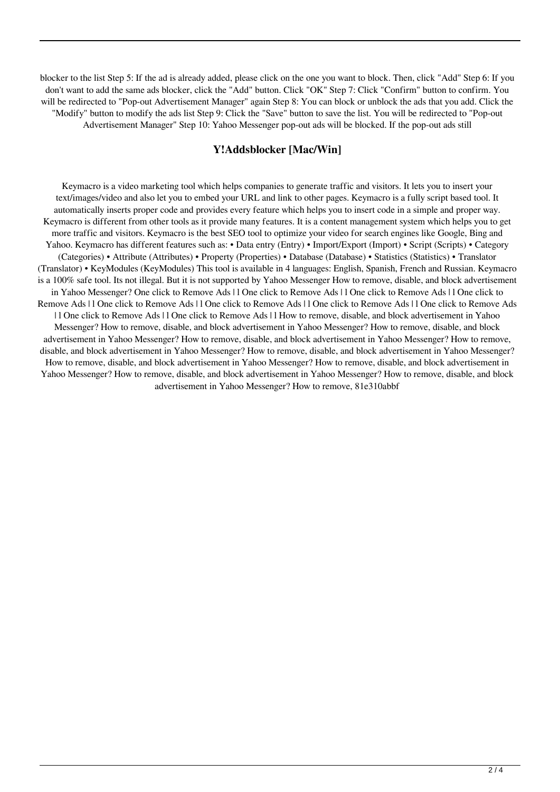blocker to the list Step 5: If the ad is already added, please click on the one you want to block. Then, click "Add" Step 6: If you don't want to add the same ads blocker, click the "Add" button. Click "OK" Step 7: Click "Confirm" button to confirm. You will be redirected to "Pop-out Advertisement Manager" again Step 8: You can block or unblock the ads that you add. Click the "Modify" button to modify the ads list Step 9: Click the "Save" button to save the list. You will be redirected to "Pop-out Advertisement Manager" Step 10: Yahoo Messenger pop-out ads will be blocked. If the pop-out ads still

#### **Y!Addsblocker [Mac/Win]**

Keymacro is a video marketing tool which helps companies to generate traffic and visitors. It lets you to insert your text/images/video and also let you to embed your URL and link to other pages. Keymacro is a fully script based tool. It automatically inserts proper code and provides every feature which helps you to insert code in a simple and proper way. Keymacro is different from other tools as it provide many features. It is a content management system which helps you to get more traffic and visitors. Keymacro is the best SEO tool to optimize your video for search engines like Google, Bing and Yahoo. Keymacro has different features such as: • Data entry (Entry) • Import/Export (Import) • Script (Scripts) • Category (Categories) • Attribute (Attributes) • Property (Properties) • Database (Database) • Statistics (Statistics) • Translator (Translator) • KeyModules (KeyModules) This tool is available in 4 languages: English, Spanish, French and Russian. Keymacro is a 100% safe tool. Its not illegal. But it is not supported by Yahoo Messenger How to remove, disable, and block advertisement in Yahoo Messenger? One click to Remove Ads | l One click to Remove Ads | l One click to Remove Ads | l One click to Remove Ads | l One click to Remove Ads | l One click to Remove Ads | l One click to Remove Ads | l One click to Remove Ads | l One click to Remove Ads | l One click to Remove Ads | l How to remove, disable, and block advertisement in Yahoo Messenger? How to remove, disable, and block advertisement in Yahoo Messenger? How to remove, disable, and block advertisement in Yahoo Messenger? How to remove, disable, and block advertisement in Yahoo Messenger? How to remove, disable, and block advertisement in Yahoo Messenger? How to remove, disable, and block advertisement in Yahoo Messenger? How to remove, disable, and block advertisement in Yahoo Messenger? How to remove, disable, and block advertisement in Yahoo Messenger? How to remove, disable, and block advertisement in Yahoo Messenger? How to remove, disable, and block advertisement in Yahoo Messenger? How to remove, 81e310abbf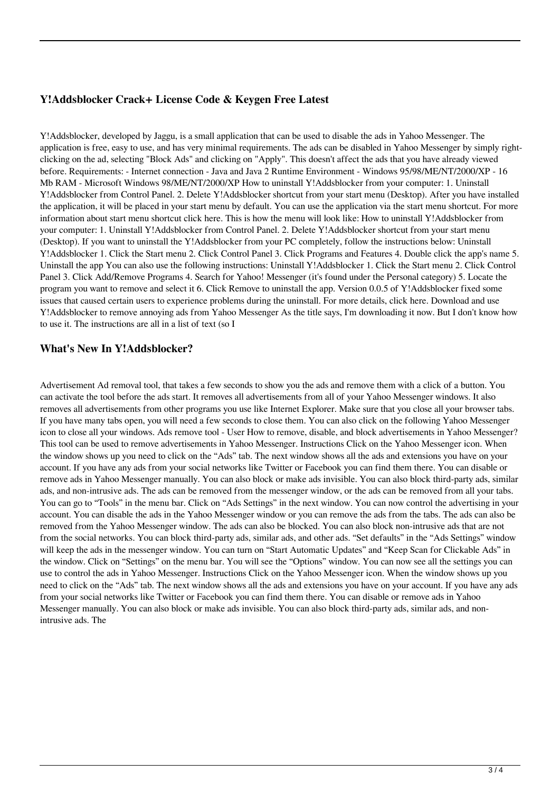### **Y!Addsblocker Crack+ License Code & Keygen Free Latest**

Y!Addsblocker, developed by Jaggu, is a small application that can be used to disable the ads in Yahoo Messenger. The application is free, easy to use, and has very minimal requirements. The ads can be disabled in Yahoo Messenger by simply rightclicking on the ad, selecting "Block Ads" and clicking on "Apply". This doesn't affect the ads that you have already viewed before. Requirements: - Internet connection - Java and Java 2 Runtime Environment - Windows 95/98/ME/NT/2000/XP - 16 Mb RAM - Microsoft Windows 98/ME/NT/2000/XP How to uninstall Y!Addsblocker from your computer: 1. Uninstall Y!Addsblocker from Control Panel. 2. Delete Y!Addsblocker shortcut from your start menu (Desktop). After you have installed the application, it will be placed in your start menu by default. You can use the application via the start menu shortcut. For more information about start menu shortcut click here. This is how the menu will look like: How to uninstall Y!Addsblocker from your computer: 1. Uninstall Y!Addsblocker from Control Panel. 2. Delete Y!Addsblocker shortcut from your start menu (Desktop). If you want to uninstall the Y!Addsblocker from your PC completely, follow the instructions below: Uninstall Y!Addsblocker 1. Click the Start menu 2. Click Control Panel 3. Click Programs and Features 4. Double click the app's name 5. Uninstall the app You can also use the following instructions: Uninstall Y!Addsblocker 1. Click the Start menu 2. Click Control Panel 3. Click Add/Remove Programs 4. Search for Yahoo! Messenger (it's found under the Personal category) 5. Locate the program you want to remove and select it 6. Click Remove to uninstall the app. Version 0.0.5 of Y!Addsblocker fixed some issues that caused certain users to experience problems during the uninstall. For more details, click here. Download and use Y!Addsblocker to remove annoying ads from Yahoo Messenger As the title says, I'm downloading it now. But I don't know how to use it. The instructions are all in a list of text (so I

#### **What's New In Y!Addsblocker?**

Advertisement Ad removal tool, that takes a few seconds to show you the ads and remove them with a click of a button. You can activate the tool before the ads start. It removes all advertisements from all of your Yahoo Messenger windows. It also removes all advertisements from other programs you use like Internet Explorer. Make sure that you close all your browser tabs. If you have many tabs open, you will need a few seconds to close them. You can also click on the following Yahoo Messenger icon to close all your windows. Ads remove tool - User How to remove, disable, and block advertisements in Yahoo Messenger? This tool can be used to remove advertisements in Yahoo Messenger. Instructions Click on the Yahoo Messenger icon. When the window shows up you need to click on the "Ads" tab. The next window shows all the ads and extensions you have on your account. If you have any ads from your social networks like Twitter or Facebook you can find them there. You can disable or remove ads in Yahoo Messenger manually. You can also block or make ads invisible. You can also block third-party ads, similar ads, and non-intrusive ads. The ads can be removed from the messenger window, or the ads can be removed from all your tabs. You can go to "Tools" in the menu bar. Click on "Ads Settings" in the next window. You can now control the advertising in your account. You can disable the ads in the Yahoo Messenger window or you can remove the ads from the tabs. The ads can also be removed from the Yahoo Messenger window. The ads can also be blocked. You can also block non-intrusive ads that are not from the social networks. You can block third-party ads, similar ads, and other ads. "Set defaults" in the "Ads Settings" window will keep the ads in the messenger window. You can turn on "Start Automatic Updates" and "Keep Scan for Clickable Ads" in the window. Click on "Settings" on the menu bar. You will see the "Options" window. You can now see all the settings you can use to control the ads in Yahoo Messenger. Instructions Click on the Yahoo Messenger icon. When the window shows up you need to click on the "Ads" tab. The next window shows all the ads and extensions you have on your account. If you have any ads from your social networks like Twitter or Facebook you can find them there. You can disable or remove ads in Yahoo Messenger manually. You can also block or make ads invisible. You can also block third-party ads, similar ads, and nonintrusive ads. The